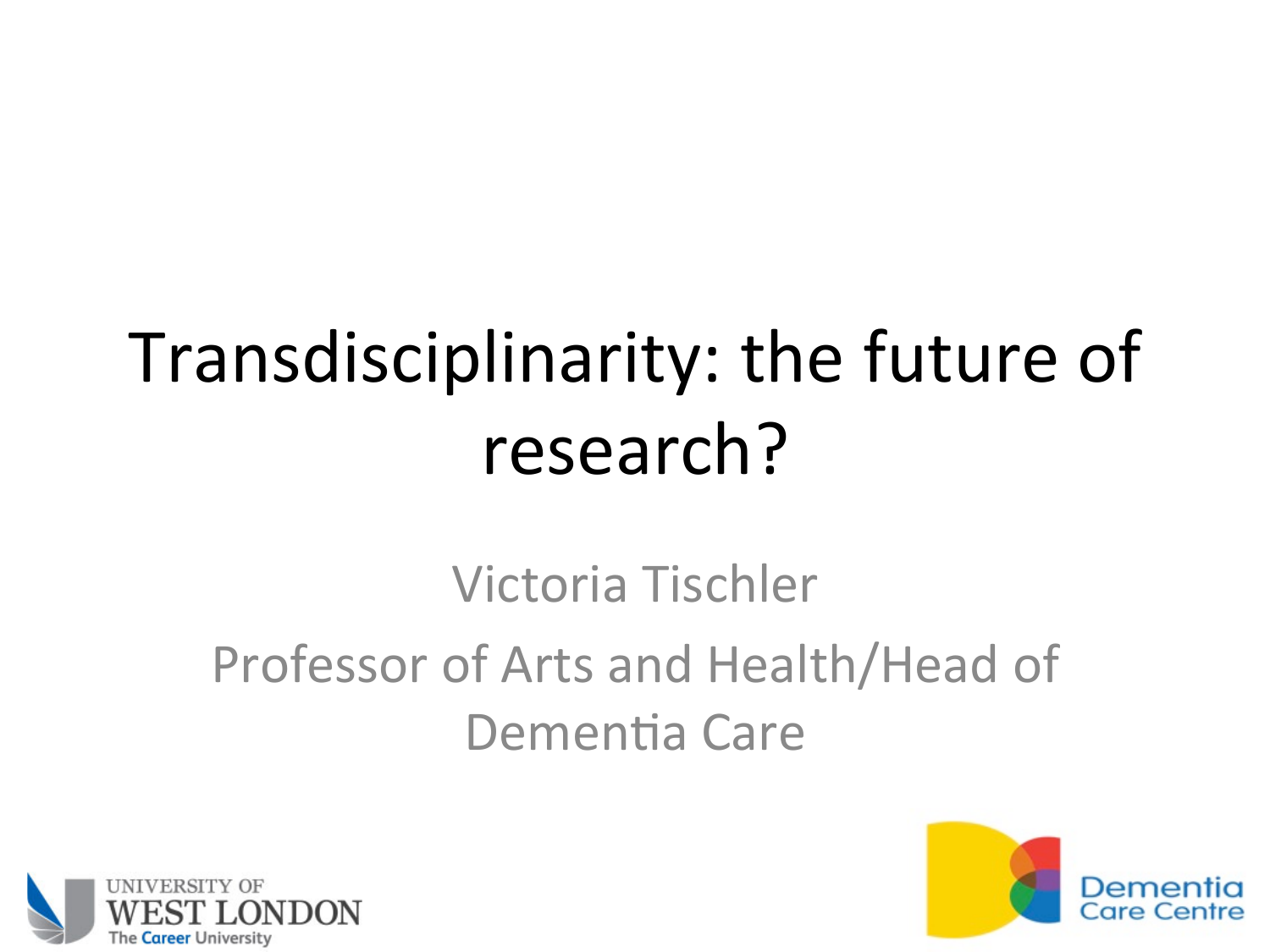# Transdisciplinarity: the future of research?

#### Victoria Tischler Professor of Arts and Health/Head of Dementia Care



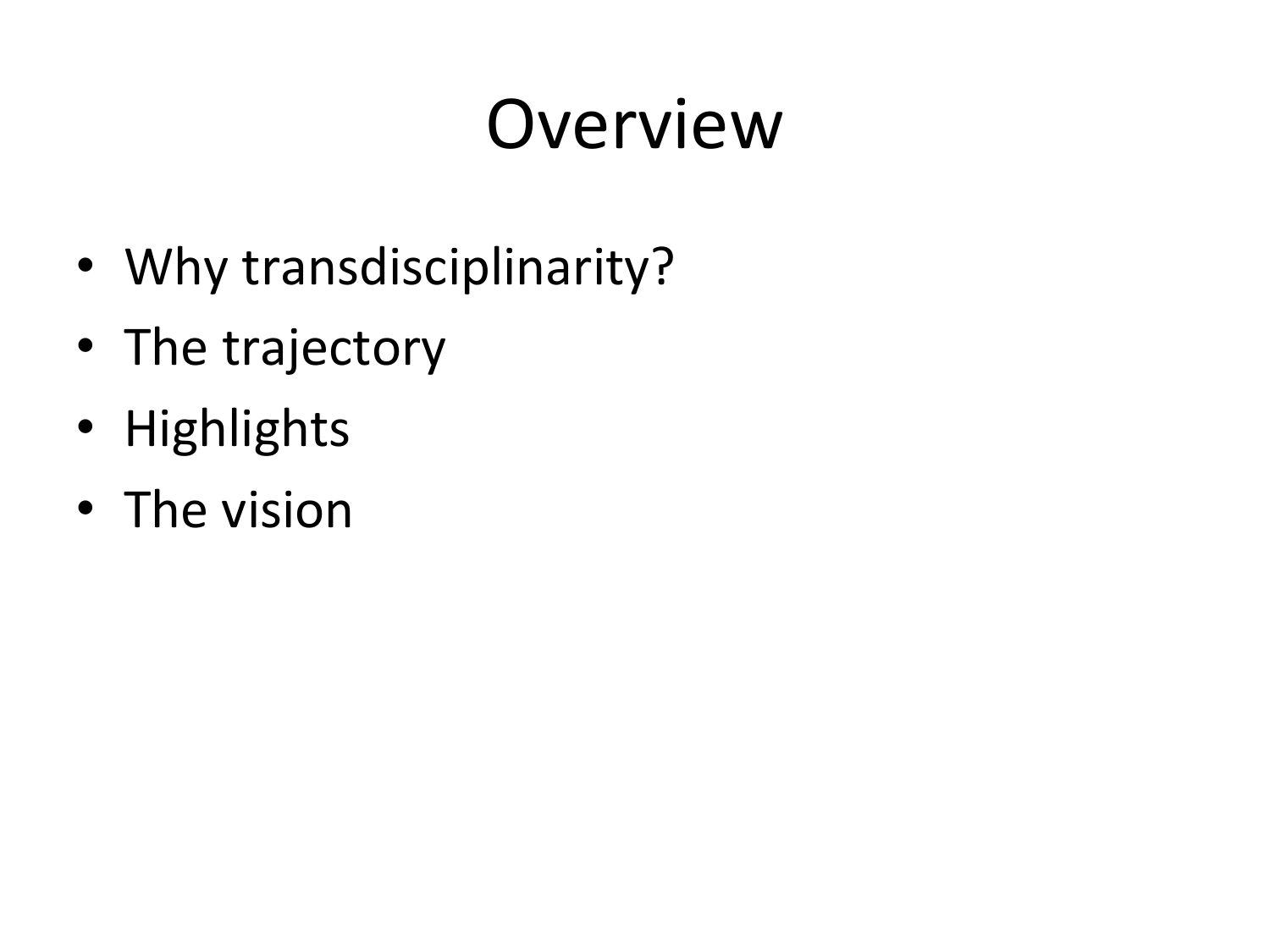# Overview

- Why transdisciplinarity?
- The trajectory
- Highlights
- The vision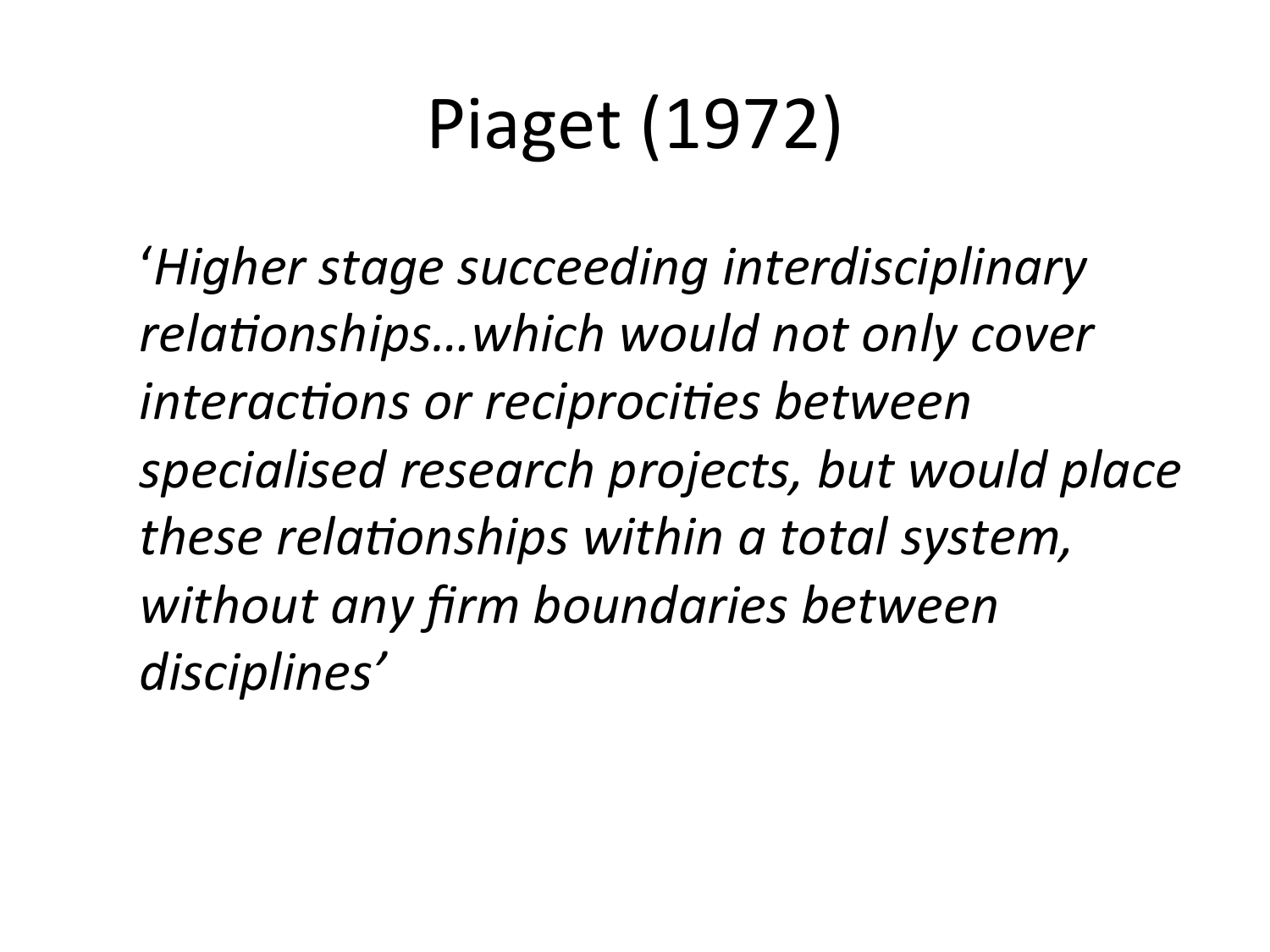# Piaget (1972)

*'Higher stage succeeding interdisciplinary* relationships...which would not only cover *interactions or reciprocities between specialised research projects, but would place these relationships within a total system,* without any firm boundaries between *disciplines'*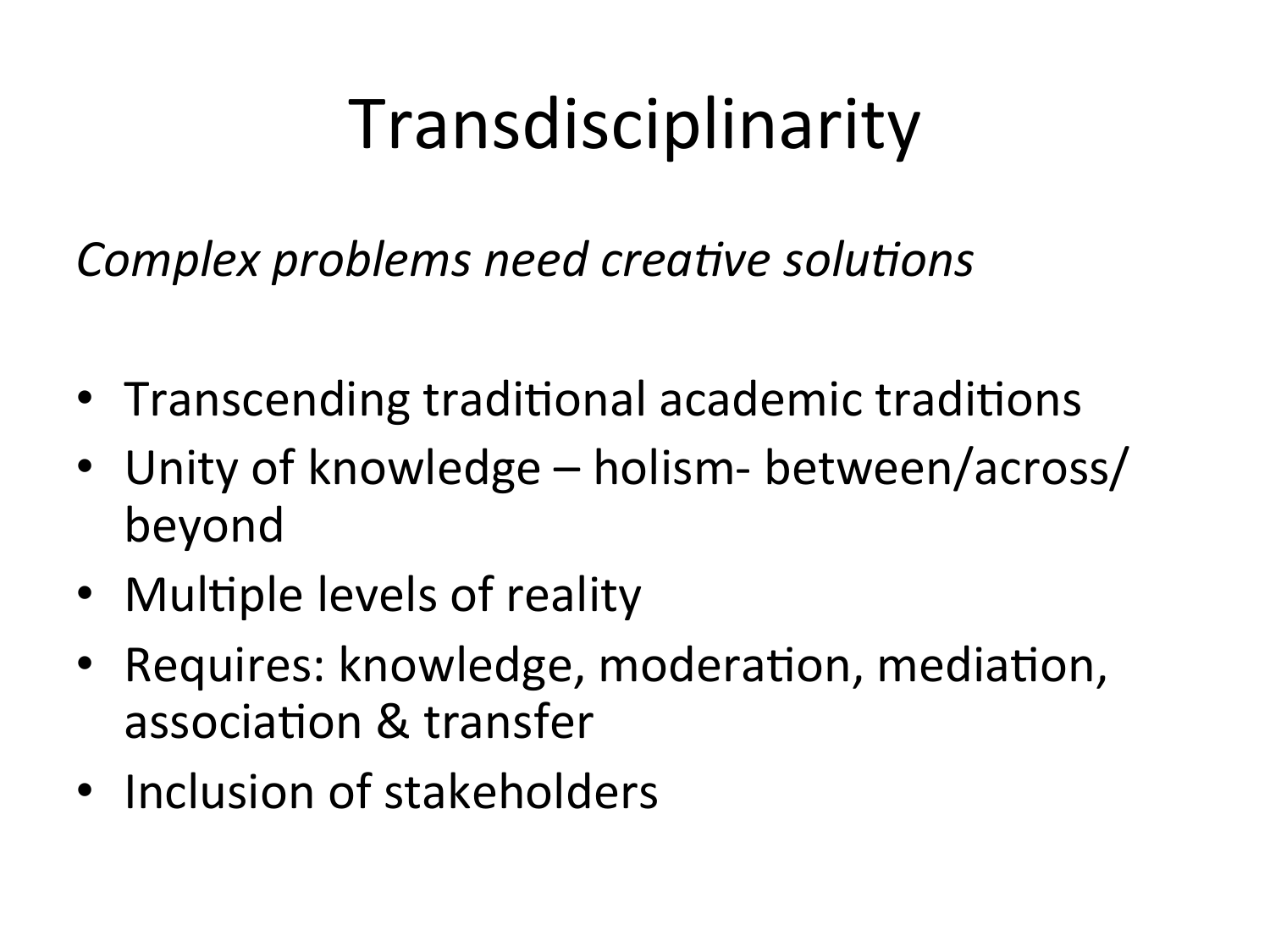# Transdisciplinarity

*Complex problems need creative solutions* 

- Transcending traditional academic traditions
- Unity of knowledge holism- between/across/ beyond
- Multiple levels of reality
- Requires: knowledge, moderation, mediation, association & transfer
- Inclusion of stakeholders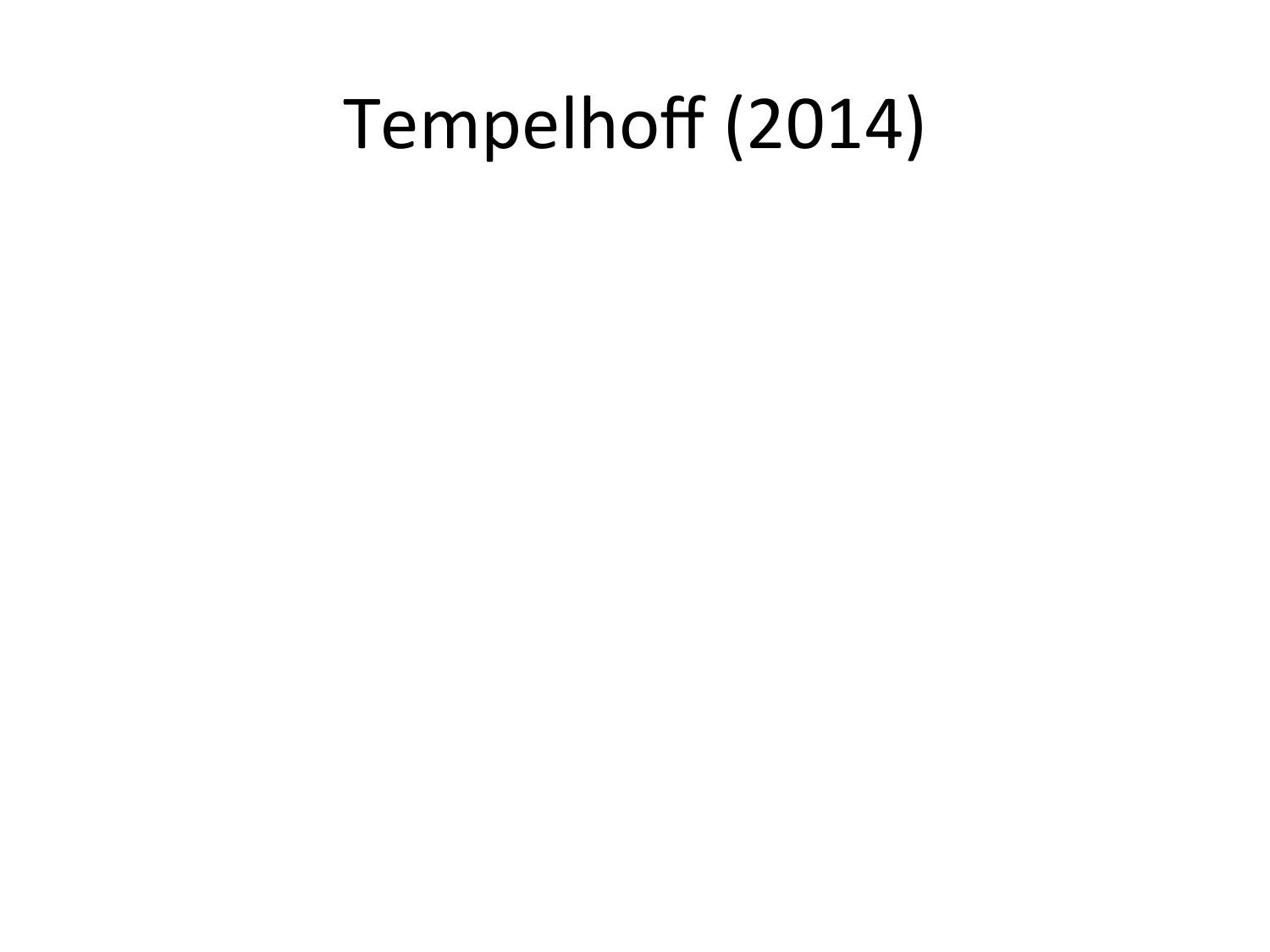## Tempelhoff (2014)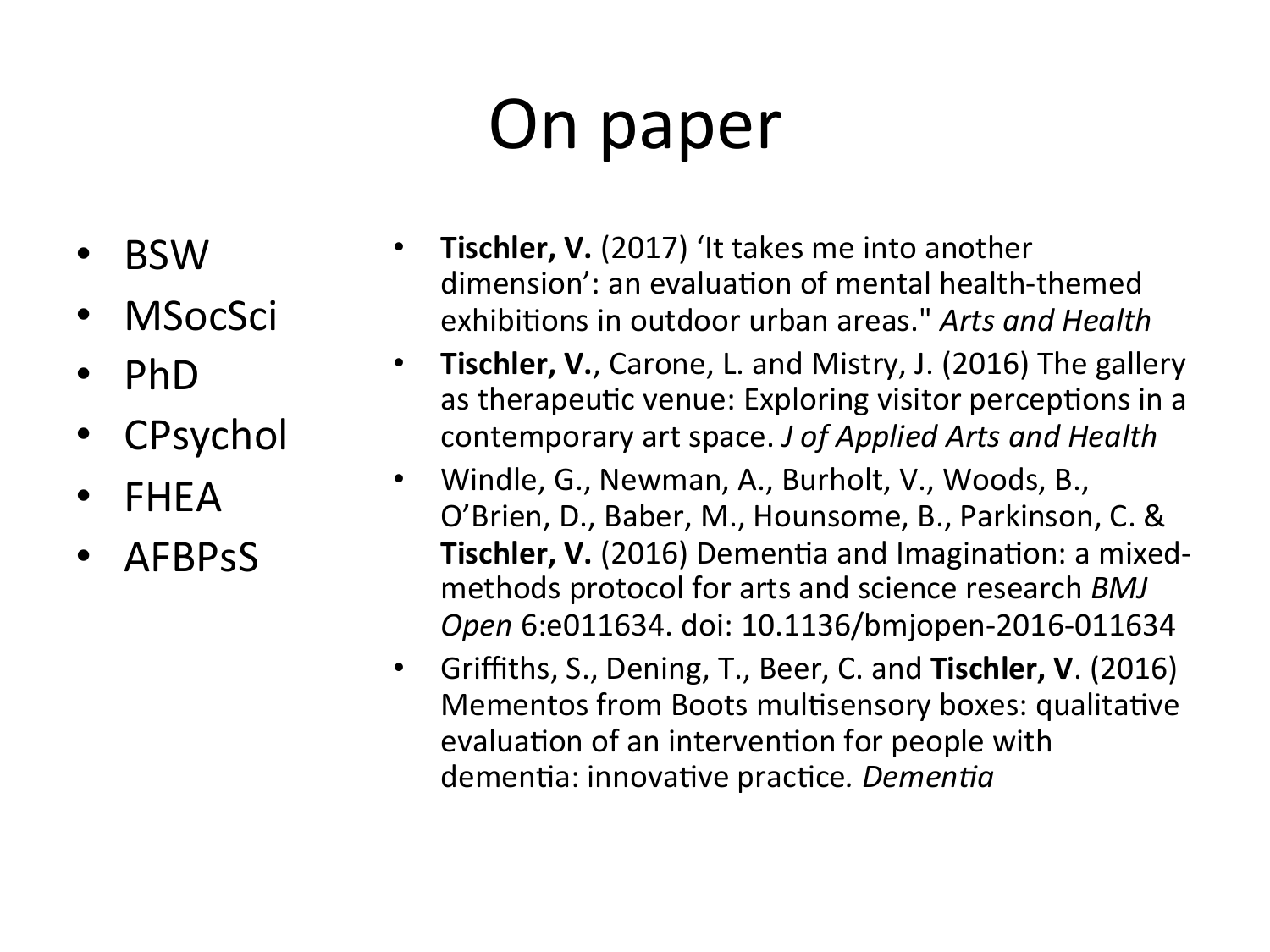# On paper

- BSW
- MSocSci
- PhD
- **CPsychol**
- FHEA
- AFBPsS
- **Tischler, V.** (2017) 'It takes me into another dimension': an evaluation of mental health-themed exhibitions in outdoor urban areas." Arts and Health
- **Tischler, V.**, Carone, L. and Mistry, J. (2016) The gallery as therapeutic venue: Exploring visitor perceptions in a contemporary art space. *J of Applied Arts and Health*
- Windle, G., Newman, A., Burholt, V., Woods, B., O'Brien, D., Baber, M., Hounsome, B., Parkinson, C. & **Tischler, V.** (2016) Dementia and Imagination: a mixedmethods protocol for arts and science research *BMJ Open* 6:e011634. doi: 10.1136/bmjopen-2016-011634
- Griffiths, S., Dening, T., Beer, C. and **Tischler, V**. (2016) Mementos from Boots multisensory boxes: qualitative evaluation of an intervention for people with dementia: innovative practice. Dementia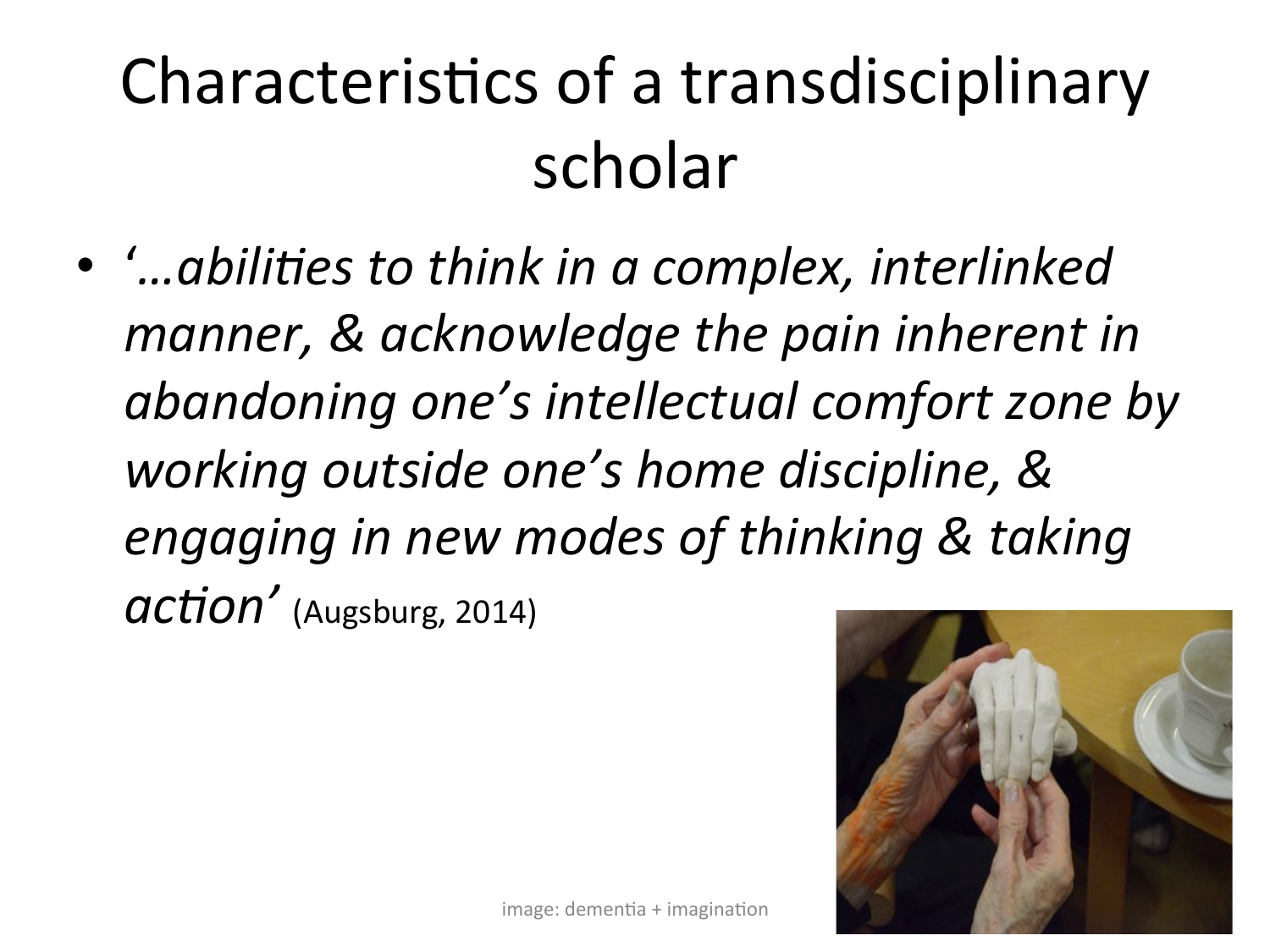# Characteristics of a transdisciplinary scholar

• '...abilities to think in a complex, interlinked manner, & acknowledge the pain inherent in abandoning one's intellectual comfort zone by working outside one's home discipline, & engaging in new modes of thinking & taking **action** (Augsburg, 2014)

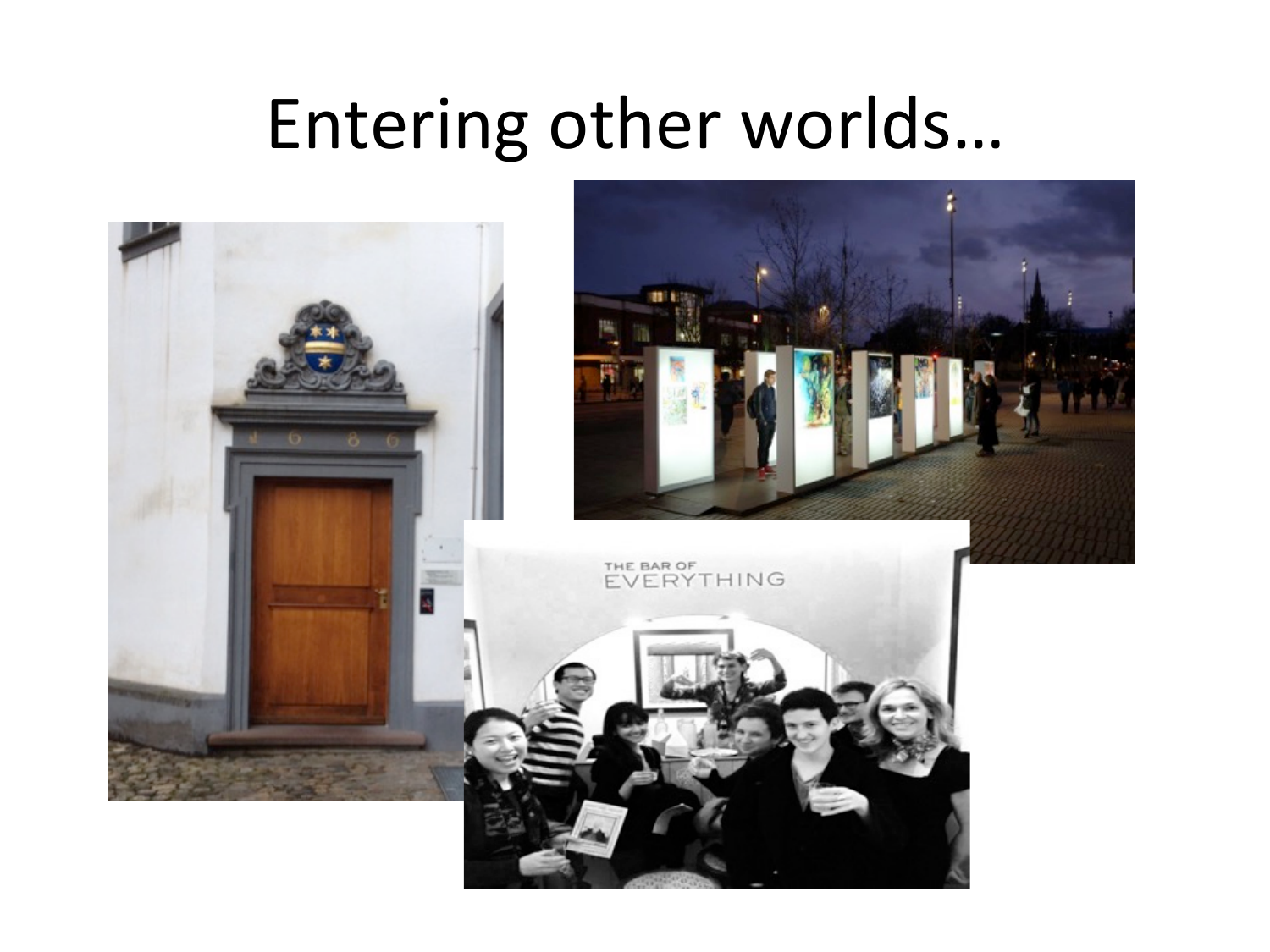#### Entering other worlds...

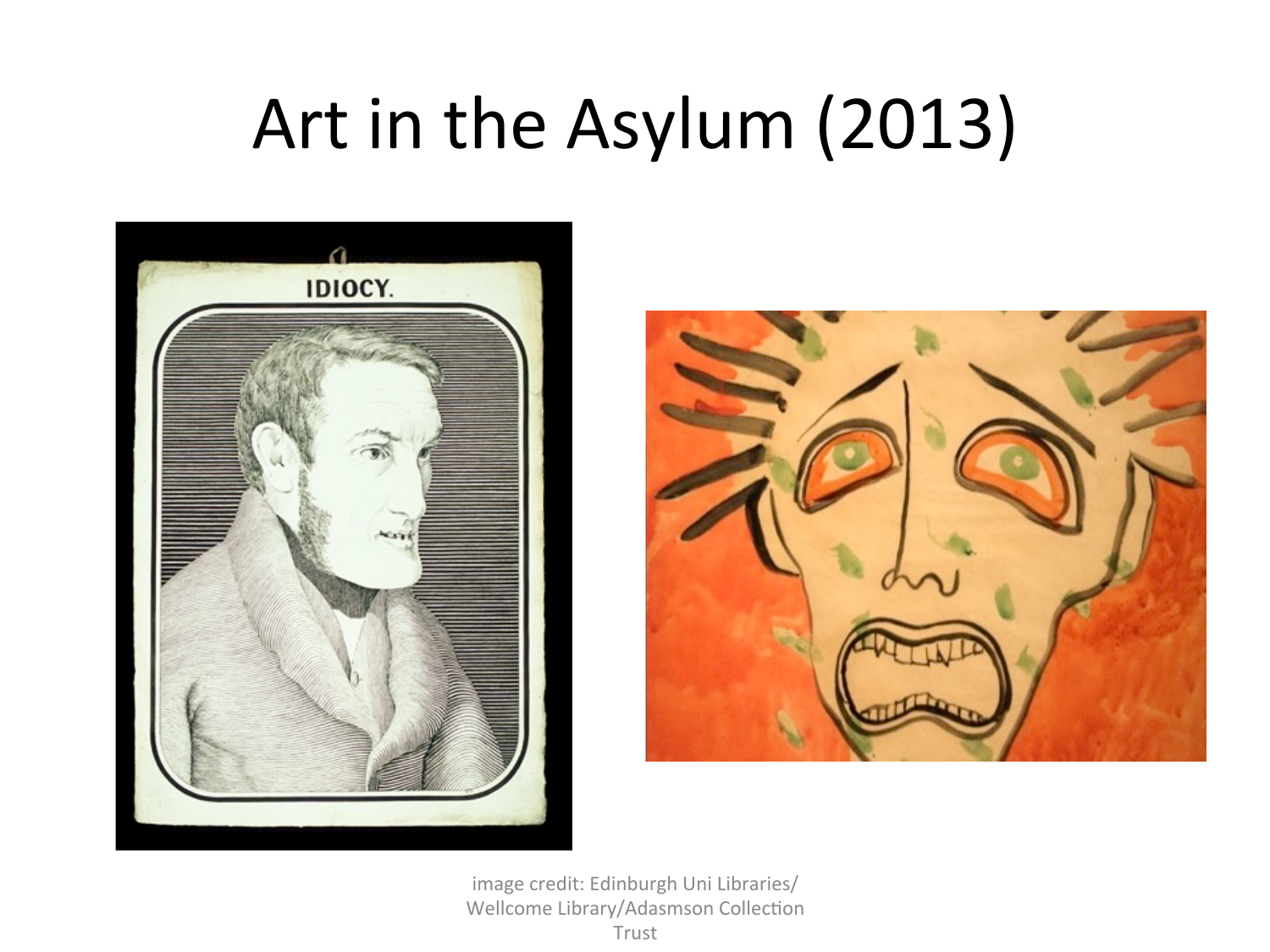# Art in the Asylum (2013)





image credit: Edinburgh Uni Libraries/ Wellcome Library/Adasmson Collection Trust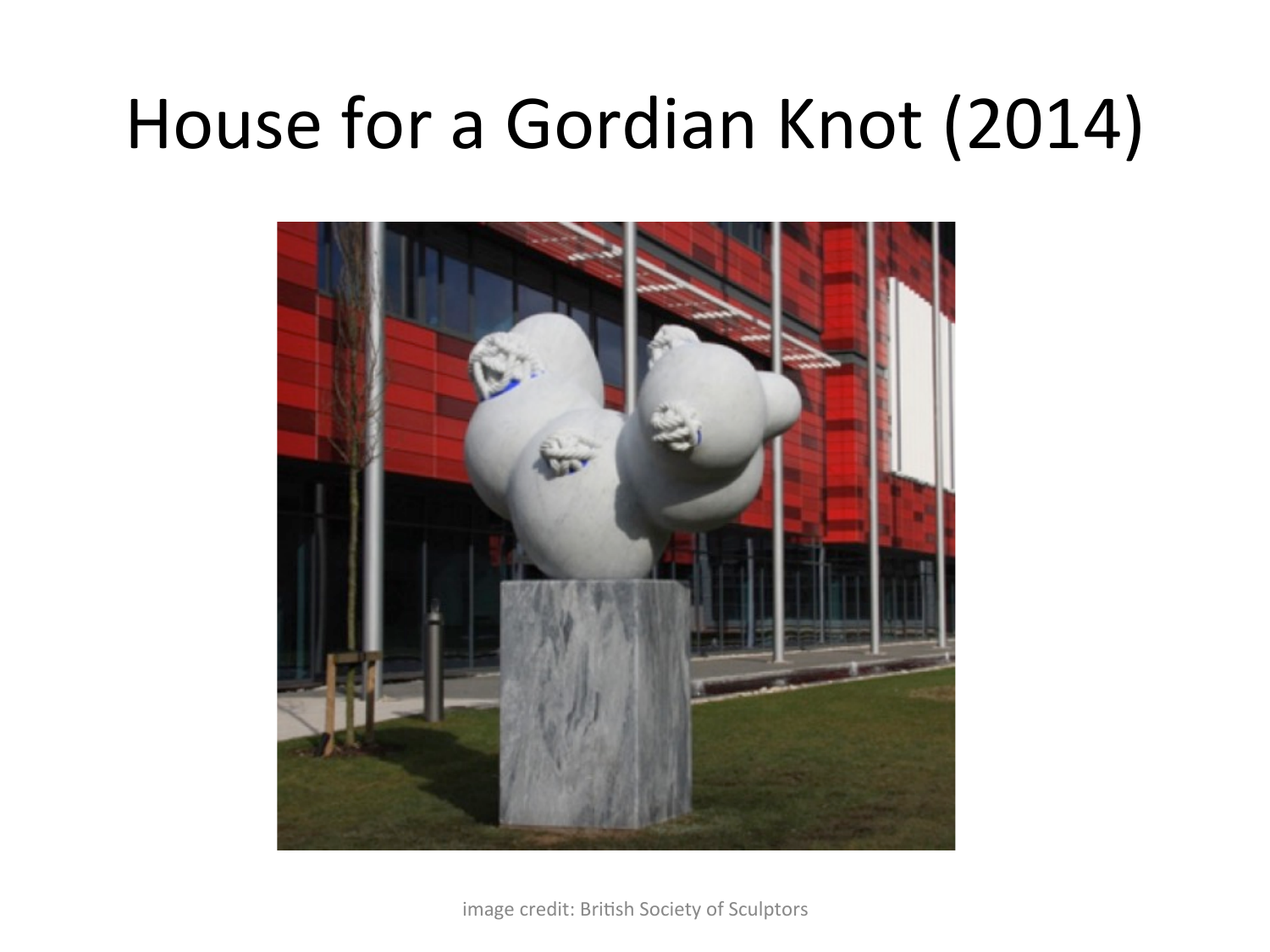## House for a Gordian Knot (2014)



image credit: British Society of Sculptors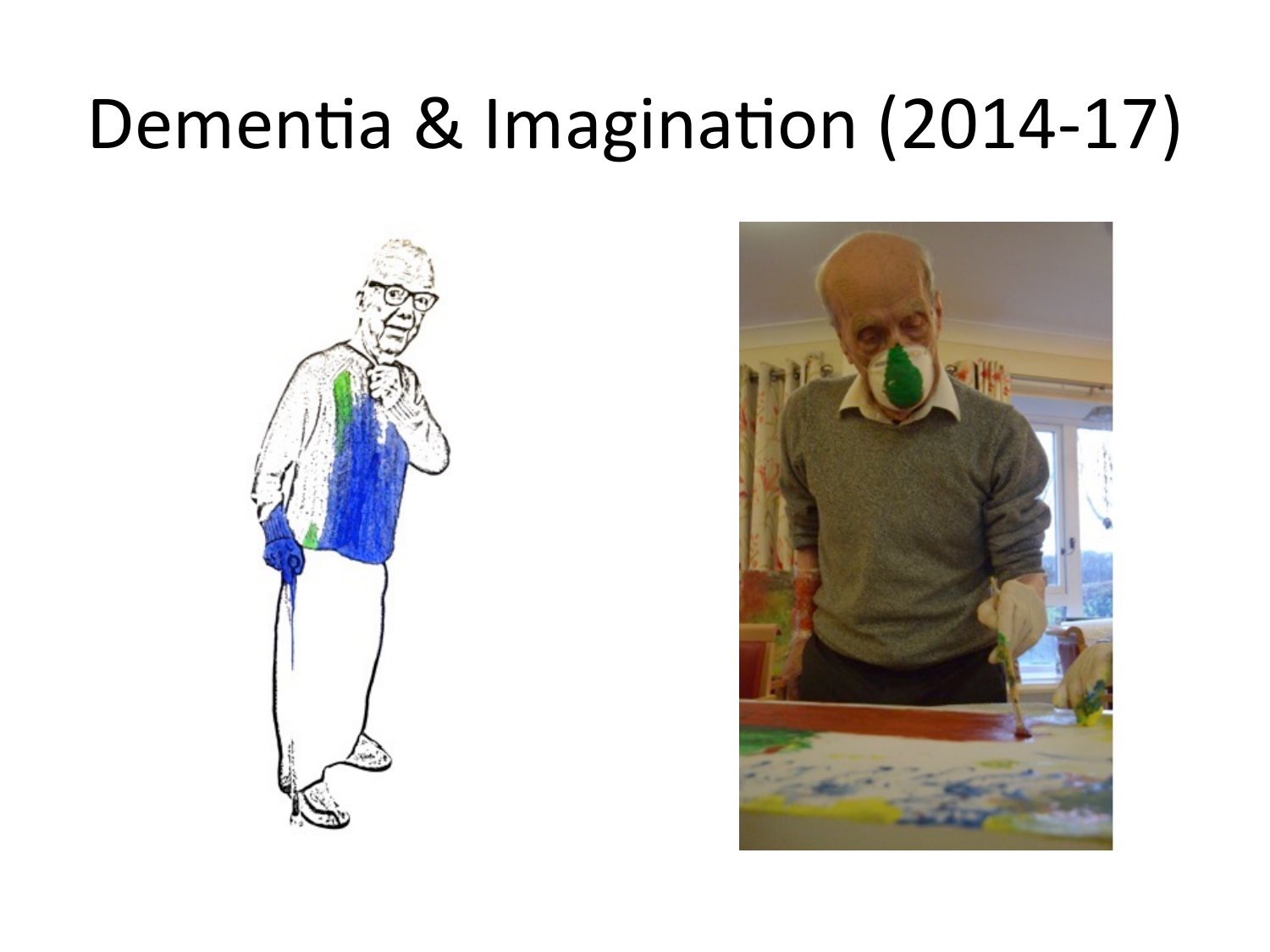## Dementia & Imagination (2014-17)



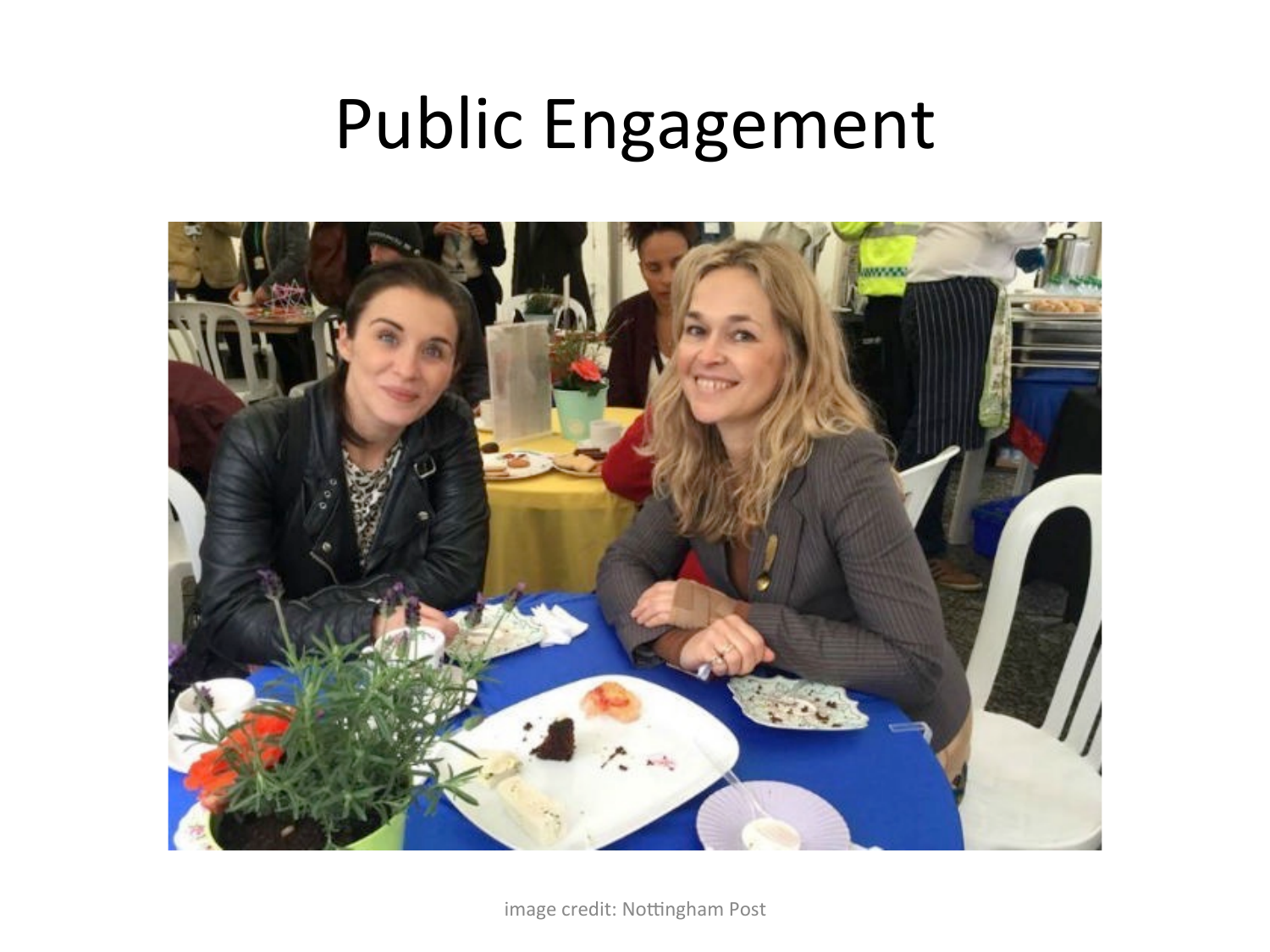### Public Engagement



image credit: Nottingham Post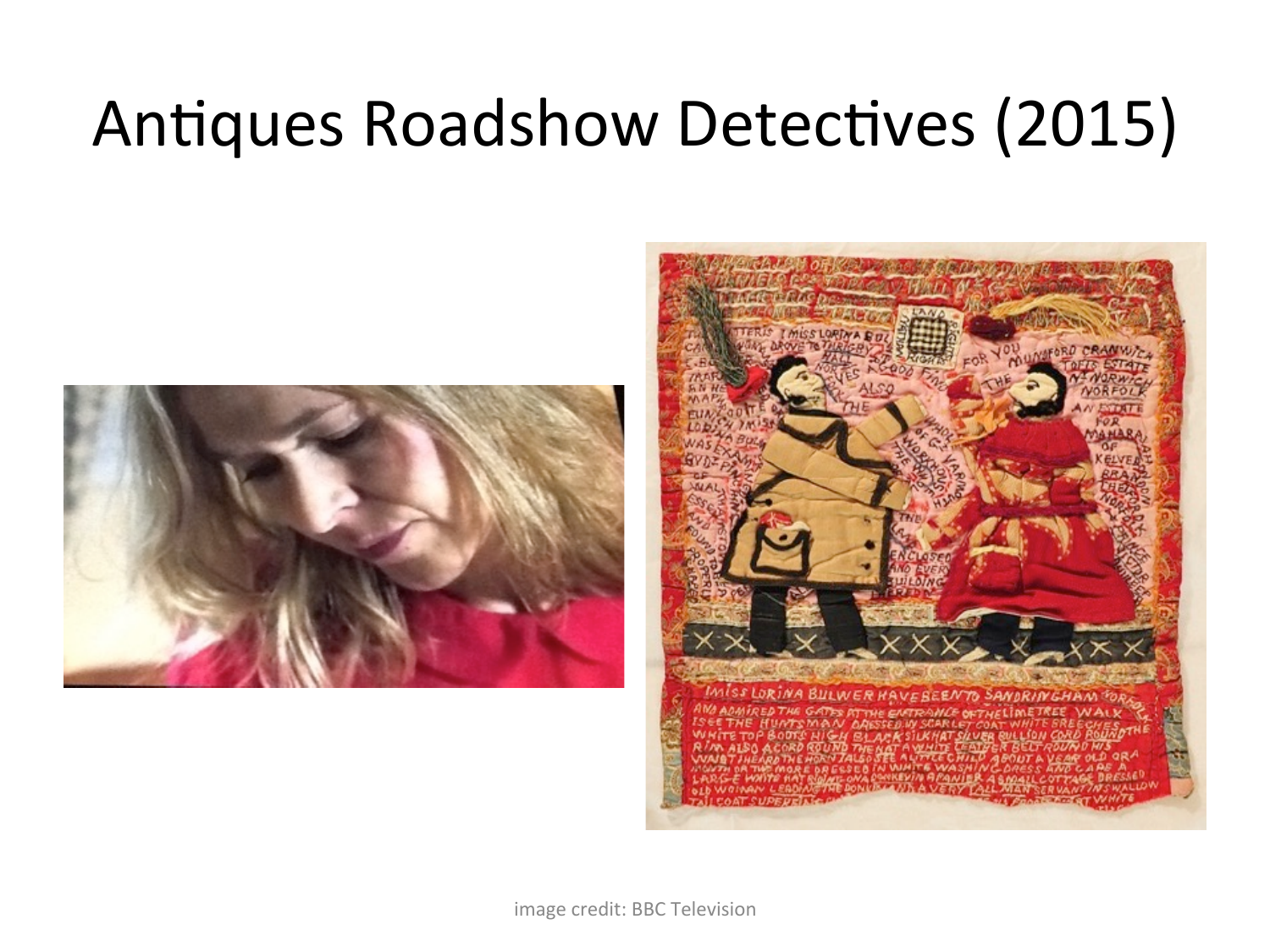#### **Antiques Roadshow Detectives (2015)**



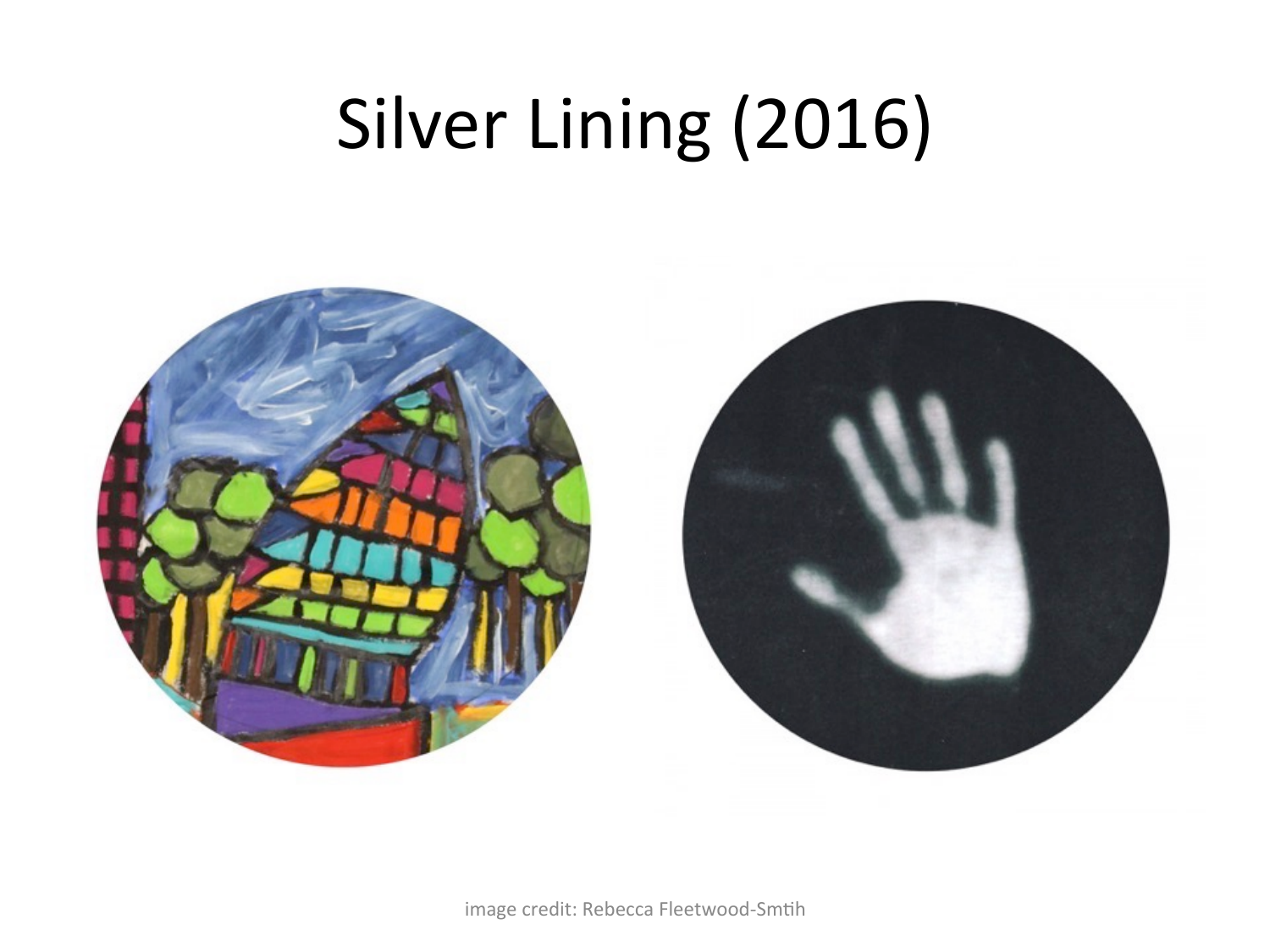# Silver Lining (2016)

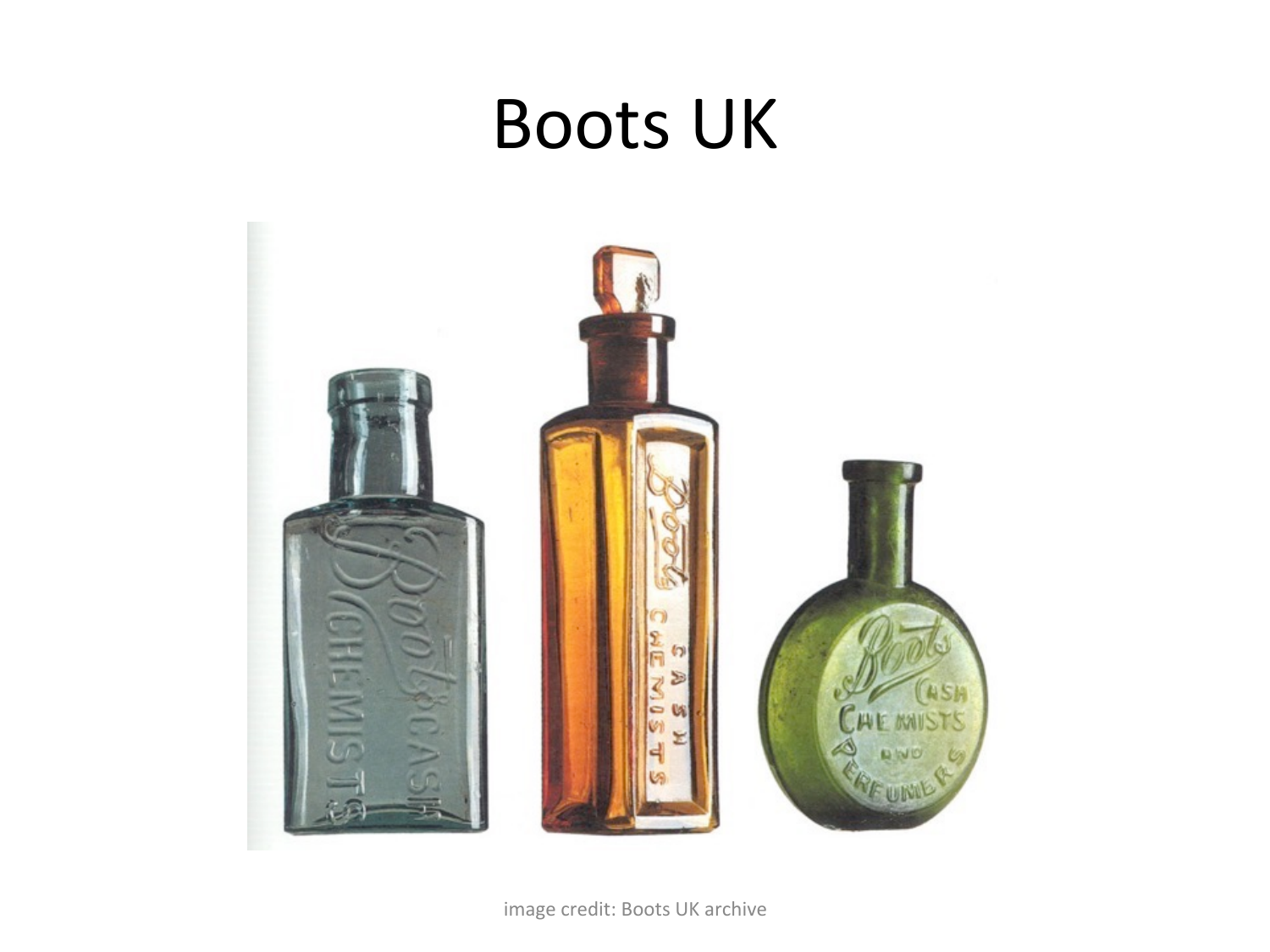#### **Boots UK**

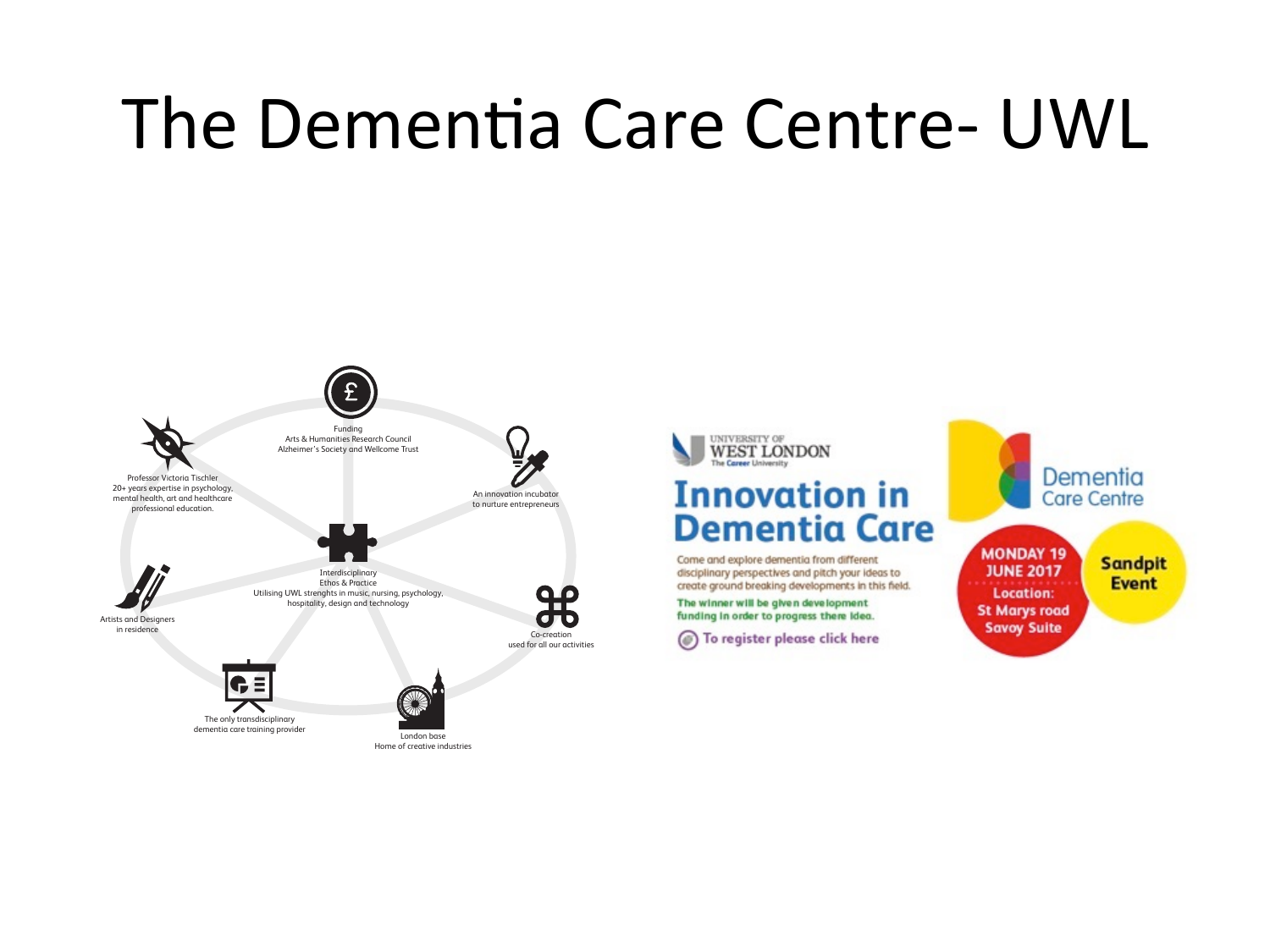## The Dementia Care Centre- UWL





#### **Innovation in Dementia Care**

Come and explore dementia from different disciplinary perspectives and pitch your ideas to create ground breaking developments in this field.

The winner will be given development funding in order to progress there idea.

(a) To register please click here

Dementia **Care Centre** 

**MONDAY 19 JUNE 2017 Location: St Marys road Savoy Suite** 

**Sandpit Event**